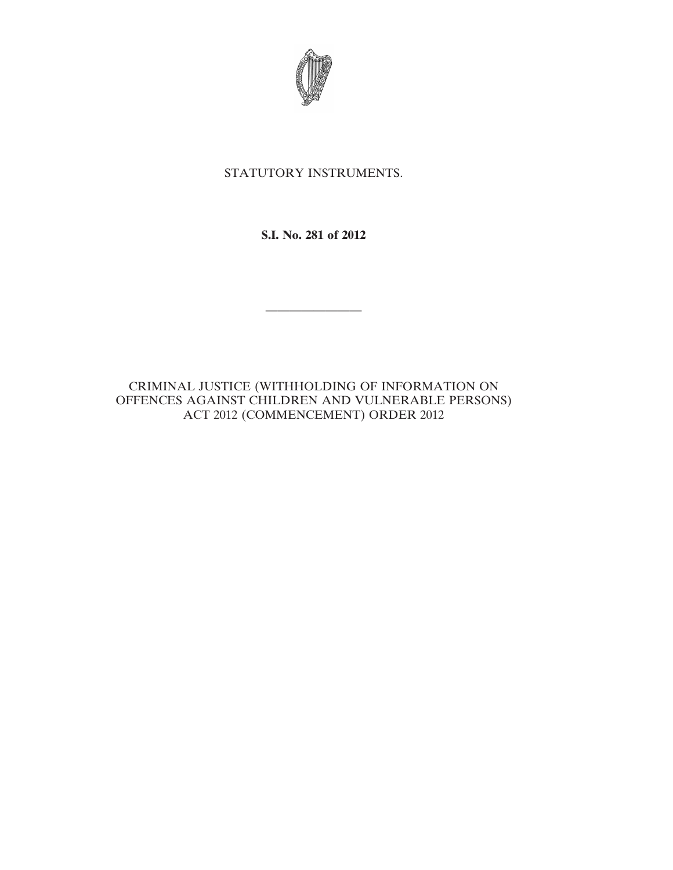

## STATUTORY INSTRUMENTS.

**S.I. No. 281 of 2012**

————————

CRIMINAL JUSTICE (WITHHOLDING OF INFORMATION ON OFFENCES AGAINST CHILDREN AND VULNERABLE PERSONS) ACT 2012 (COMMENCEMENT) ORDER 2012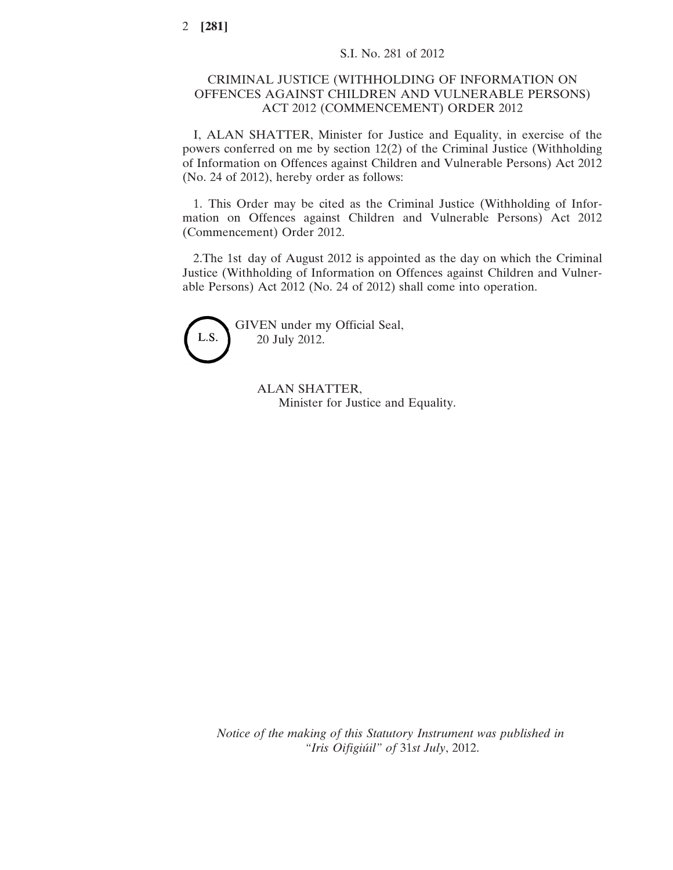## CRIMINAL JUSTICE (WITHHOLDING OF INFORMATION ON OFFENCES AGAINST CHILDREN AND VULNERABLE PERSONS) ACT 2012 (COMMENCEMENT) ORDER 2012

I, ALAN SHATTER, Minister for Justice and Equality, in exercise of the powers conferred on me by section 12(2) of the Criminal Justice (Withholding of Information on Offences against Children and Vulnerable Persons) Act 2012 (No. 24 of 2012), hereby order as follows:

1. This Order may be cited as the Criminal Justice (Withholding of Information on Offences against Children and Vulnerable Persons) Act 2012 (Commencement) Order 2012.

2.The 1st day of August 2012 is appointed as the day on which the Criminal Justice (Withholding of Information on Offences against Children and Vulnerable Persons) Act 2012 (No. 24 of 2012) shall come into operation.



ALAN SHATTER, Minister for Justice and Equality.

*Notice of the making of this Statutory Instrument was published in "Iris Oifigiúil" of* 31*st July*, 2012.